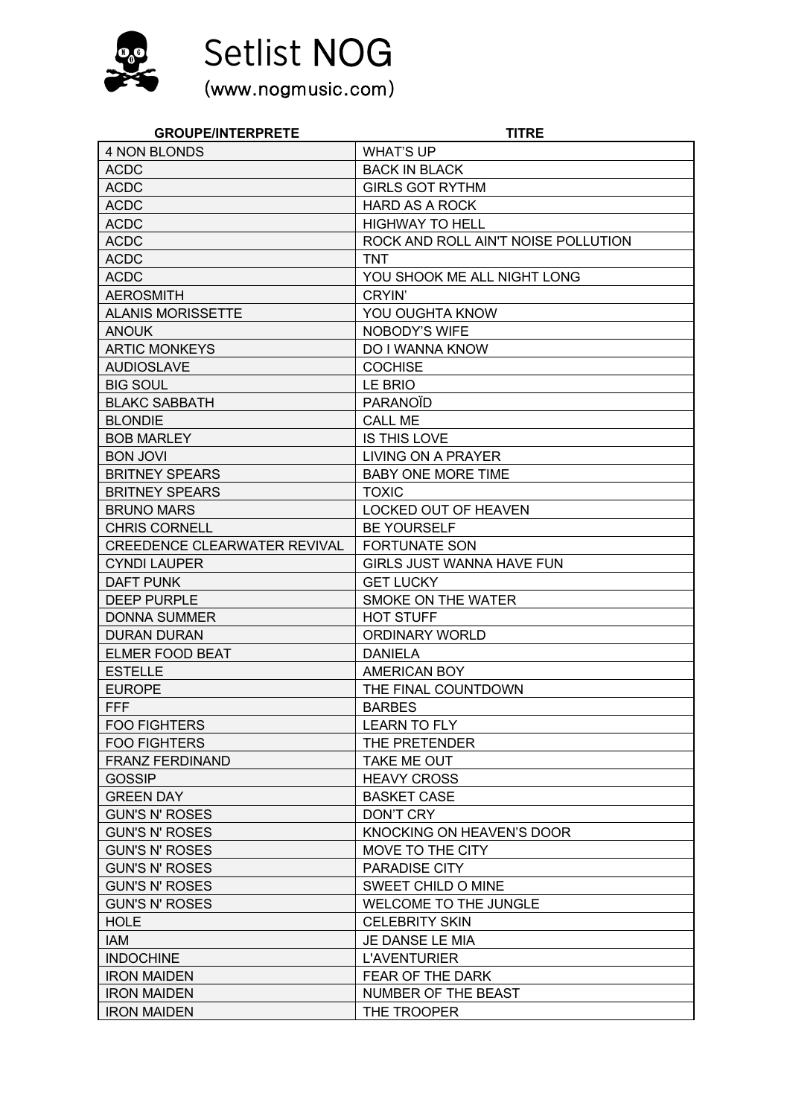

Setlist NOG<br>(www.nogmusic.com)

| <b>GROUPE/INTERPRETE</b>            | <b>TITRE</b>                        |
|-------------------------------------|-------------------------------------|
| <b>4 NON BLONDS</b>                 | <b>WHAT'S UP</b>                    |
| <b>ACDC</b>                         | <b>BACK IN BLACK</b>                |
| <b>ACDC</b>                         | <b>GIRLS GOT RYTHM</b>              |
| <b>ACDC</b>                         | <b>HARD AS A ROCK</b>               |
| <b>ACDC</b>                         | <b>HIGHWAY TO HELL</b>              |
| <b>ACDC</b>                         | ROCK AND ROLL AIN'T NOISE POLLUTION |
| <b>ACDC</b>                         | <b>TNT</b>                          |
| <b>ACDC</b>                         | YOU SHOOK ME ALL NIGHT LONG         |
| <b>AEROSMITH</b>                    | CRYIN'                              |
| <b>ALANIS MORISSETTE</b>            | <b>YOU OUGHTA KNOW</b>              |
| <b>ANOUK</b>                        | NOBODY'S WIFE                       |
| <b>ARTIC MONKEYS</b>                | DO I WANNA KNOW                     |
| <b>AUDIOSLAVE</b>                   | <b>COCHISE</b>                      |
| <b>BIG SOUL</b>                     | LE BRIO                             |
| <b>BLAKC SABBATH</b>                | <b>PARANOID</b>                     |
| <b>BLONDIE</b>                      | <b>CALL ME</b>                      |
| <b>BOB MARLEY</b>                   | IS THIS LOVE                        |
| <b>BON JOVI</b>                     | <b>LIVING ON A PRAYER</b>           |
| <b>BRITNEY SPEARS</b>               | <b>BABY ONE MORE TIME</b>           |
| <b>BRITNEY SPEARS</b>               | <b>TOXIC</b>                        |
| <b>BRUNO MARS</b>                   | LOCKED OUT OF HEAVEN                |
| <b>CHRIS CORNELL</b>                | <b>BE YOURSELF</b>                  |
| <b>CREEDENCE CLEARWATER REVIVAL</b> | <b>FORTUNATE SON</b>                |
| <b>CYNDI LAUPER</b>                 | GIRLS JUST WANNA HAVE FUN           |
| DAFT PUNK                           | <b>GET LUCKY</b>                    |
| <b>DEEP PURPLE</b>                  | SMOKE ON THE WATER                  |
| <b>DONNA SUMMER</b>                 | <b>HOT STUFF</b>                    |
| <b>DURAN DURAN</b>                  | ORDINARY WORLD                      |
| <b>ELMER FOOD BEAT</b>              | <b>DANIELA</b>                      |
| <b>ESTELLE</b>                      | <b>AMERICAN BOY</b>                 |
| <b>EUROPE</b>                       | THE FINAL COUNTDOWN                 |
| <b>FFF</b>                          | <b>BARBES</b>                       |
| <b>FOO FIGHTERS</b>                 | <b>LEARN TO FLY</b>                 |
| <b>FOO FIGHTERS</b>                 | THE PRETENDER                       |
| <b>FRANZ FERDINAND</b>              | <b>TAKE ME OUT</b>                  |
| <b>GOSSIP</b>                       | <b>HEAVY CROSS</b>                  |
| <b>GREEN DAY</b>                    | <b>BASKET CASE</b>                  |
| <b>GUN'S N' ROSES</b>               | <b>DON'T CRY</b>                    |
| <b>GUN'S N' ROSES</b>               | KNOCKING ON HEAVEN'S DOOR           |
| <b>GUN'S N' ROSES</b>               | MOVE TO THE CITY                    |
| <b>GUN'S N' ROSES</b>               | PARADISE CITY                       |
| <b>GUN'S N' ROSES</b>               | SWEET CHILD O MINE                  |
| <b>GUN'S N' ROSES</b>               | <b>WELCOME TO THE JUNGLE</b>        |
| <b>HOLE</b>                         | <b>CELEBRITY SKIN</b>               |
| IAM                                 | JE DANSE LE MIA                     |
| <b>INDOCHINE</b>                    | <b>L'AVENTURIER</b>                 |
| <b>IRON MAIDEN</b>                  | FEAR OF THE DARK                    |
| <b>IRON MAIDEN</b>                  | NUMBER OF THE BEAST                 |
| <b>IRON MAIDEN</b>                  | THE TROOPER                         |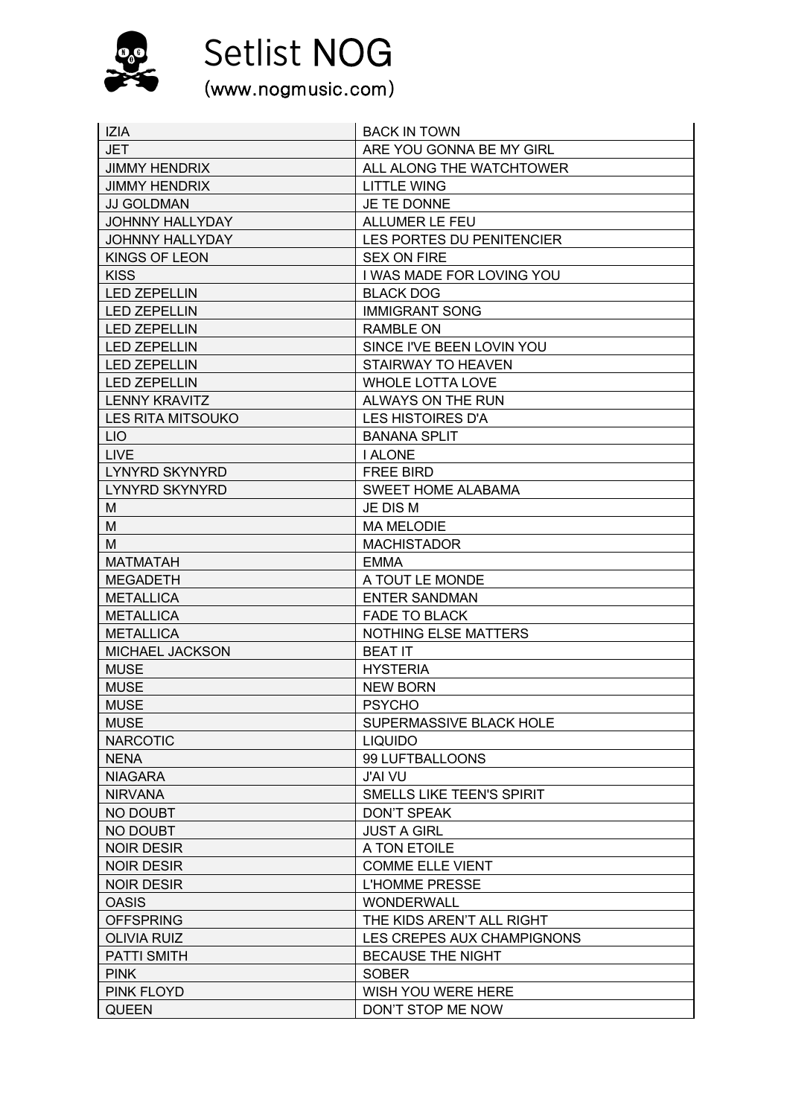

Setlist NOG<br>(www.nogmusic.com)

| <b>JET</b><br>ARE YOU GONNA BE MY GIRL<br>ALL ALONG THE WATCHTOWER<br><b>JIMMY HENDRIX</b><br><b>JIMMY HENDRIX</b><br><b>LITTLE WING</b><br><b>JJ GOLDMAN</b><br><b>JE TE DONNE</b><br><b>JOHNNY HALLYDAY</b><br><b>ALLUMER LE FEU</b><br><b>JOHNNY HALLYDAY</b><br>LES PORTES DU PENITENCIER<br><b>KINGS OF LEON</b><br><b>SEX ON FIRE</b><br><b>KISS</b><br>I WAS MADE FOR LOVING YOU<br><b>LED ZEPELLIN</b><br><b>BLACK DOG</b><br><b>LED ZEPELLIN</b><br><b>IMMIGRANT SONG</b><br><b>LED ZEPELLIN</b><br><b>RAMBLE ON</b><br><b>LED ZEPELLIN</b><br>SINCE I'VE BEEN LOVIN YOU<br><b>LED ZEPELLIN</b><br><b>STAIRWAY TO HEAVEN</b><br><b>LED ZEPELLIN</b><br><b>WHOLE LOTTA LOVE</b><br><b>LENNY KRAVITZ</b><br>ALWAYS ON THE RUN<br><b>LES HISTOIRES D'A</b><br><b>LES RITA MITSOUKO</b><br><b>LIO</b><br><b>BANANA SPLIT</b><br><b>LIVE</b><br><b>I ALONE</b><br><b>LYNYRD SKYNYRD</b><br><b>FREE BIRD</b><br>SWEET HOME ALABAMA<br><b>LYNYRD SKYNYRD</b><br>JE DIS M<br>M<br>M<br><b>MA MELODIE</b><br>м<br><b>MACHISTADOR</b><br><b>MATMATAH</b><br><b>EMMA</b><br>A TOUT LE MONDE<br>MEGADETH<br><b>ENTER SANDMAN</b><br><b>METALLICA</b><br><b>METALLICA</b><br><b>FADE TO BLACK</b><br><b>METALLICA</b><br><b>NOTHING ELSE MATTERS</b><br><b>MICHAEL JACKSON</b><br><b>BEAT IT</b><br><b>MUSE</b><br><b>HYSTERIA</b><br><b>MUSE</b><br><b>NEW BORN</b> |
|------------------------------------------------------------------------------------------------------------------------------------------------------------------------------------------------------------------------------------------------------------------------------------------------------------------------------------------------------------------------------------------------------------------------------------------------------------------------------------------------------------------------------------------------------------------------------------------------------------------------------------------------------------------------------------------------------------------------------------------------------------------------------------------------------------------------------------------------------------------------------------------------------------------------------------------------------------------------------------------------------------------------------------------------------------------------------------------------------------------------------------------------------------------------------------------------------------------------------------------------------------------------------------------------------------------------------------------------------------------|
|                                                                                                                                                                                                                                                                                                                                                                                                                                                                                                                                                                                                                                                                                                                                                                                                                                                                                                                                                                                                                                                                                                                                                                                                                                                                                                                                                                  |
|                                                                                                                                                                                                                                                                                                                                                                                                                                                                                                                                                                                                                                                                                                                                                                                                                                                                                                                                                                                                                                                                                                                                                                                                                                                                                                                                                                  |
|                                                                                                                                                                                                                                                                                                                                                                                                                                                                                                                                                                                                                                                                                                                                                                                                                                                                                                                                                                                                                                                                                                                                                                                                                                                                                                                                                                  |
|                                                                                                                                                                                                                                                                                                                                                                                                                                                                                                                                                                                                                                                                                                                                                                                                                                                                                                                                                                                                                                                                                                                                                                                                                                                                                                                                                                  |
|                                                                                                                                                                                                                                                                                                                                                                                                                                                                                                                                                                                                                                                                                                                                                                                                                                                                                                                                                                                                                                                                                                                                                                                                                                                                                                                                                                  |
|                                                                                                                                                                                                                                                                                                                                                                                                                                                                                                                                                                                                                                                                                                                                                                                                                                                                                                                                                                                                                                                                                                                                                                                                                                                                                                                                                                  |
|                                                                                                                                                                                                                                                                                                                                                                                                                                                                                                                                                                                                                                                                                                                                                                                                                                                                                                                                                                                                                                                                                                                                                                                                                                                                                                                                                                  |
|                                                                                                                                                                                                                                                                                                                                                                                                                                                                                                                                                                                                                                                                                                                                                                                                                                                                                                                                                                                                                                                                                                                                                                                                                                                                                                                                                                  |
|                                                                                                                                                                                                                                                                                                                                                                                                                                                                                                                                                                                                                                                                                                                                                                                                                                                                                                                                                                                                                                                                                                                                                                                                                                                                                                                                                                  |
|                                                                                                                                                                                                                                                                                                                                                                                                                                                                                                                                                                                                                                                                                                                                                                                                                                                                                                                                                                                                                                                                                                                                                                                                                                                                                                                                                                  |
|                                                                                                                                                                                                                                                                                                                                                                                                                                                                                                                                                                                                                                                                                                                                                                                                                                                                                                                                                                                                                                                                                                                                                                                                                                                                                                                                                                  |
|                                                                                                                                                                                                                                                                                                                                                                                                                                                                                                                                                                                                                                                                                                                                                                                                                                                                                                                                                                                                                                                                                                                                                                                                                                                                                                                                                                  |
|                                                                                                                                                                                                                                                                                                                                                                                                                                                                                                                                                                                                                                                                                                                                                                                                                                                                                                                                                                                                                                                                                                                                                                                                                                                                                                                                                                  |
|                                                                                                                                                                                                                                                                                                                                                                                                                                                                                                                                                                                                                                                                                                                                                                                                                                                                                                                                                                                                                                                                                                                                                                                                                                                                                                                                                                  |
|                                                                                                                                                                                                                                                                                                                                                                                                                                                                                                                                                                                                                                                                                                                                                                                                                                                                                                                                                                                                                                                                                                                                                                                                                                                                                                                                                                  |
|                                                                                                                                                                                                                                                                                                                                                                                                                                                                                                                                                                                                                                                                                                                                                                                                                                                                                                                                                                                                                                                                                                                                                                                                                                                                                                                                                                  |
|                                                                                                                                                                                                                                                                                                                                                                                                                                                                                                                                                                                                                                                                                                                                                                                                                                                                                                                                                                                                                                                                                                                                                                                                                                                                                                                                                                  |
|                                                                                                                                                                                                                                                                                                                                                                                                                                                                                                                                                                                                                                                                                                                                                                                                                                                                                                                                                                                                                                                                                                                                                                                                                                                                                                                                                                  |
|                                                                                                                                                                                                                                                                                                                                                                                                                                                                                                                                                                                                                                                                                                                                                                                                                                                                                                                                                                                                                                                                                                                                                                                                                                                                                                                                                                  |
|                                                                                                                                                                                                                                                                                                                                                                                                                                                                                                                                                                                                                                                                                                                                                                                                                                                                                                                                                                                                                                                                                                                                                                                                                                                                                                                                                                  |
|                                                                                                                                                                                                                                                                                                                                                                                                                                                                                                                                                                                                                                                                                                                                                                                                                                                                                                                                                                                                                                                                                                                                                                                                                                                                                                                                                                  |
|                                                                                                                                                                                                                                                                                                                                                                                                                                                                                                                                                                                                                                                                                                                                                                                                                                                                                                                                                                                                                                                                                                                                                                                                                                                                                                                                                                  |
|                                                                                                                                                                                                                                                                                                                                                                                                                                                                                                                                                                                                                                                                                                                                                                                                                                                                                                                                                                                                                                                                                                                                                                                                                                                                                                                                                                  |
|                                                                                                                                                                                                                                                                                                                                                                                                                                                                                                                                                                                                                                                                                                                                                                                                                                                                                                                                                                                                                                                                                                                                                                                                                                                                                                                                                                  |
|                                                                                                                                                                                                                                                                                                                                                                                                                                                                                                                                                                                                                                                                                                                                                                                                                                                                                                                                                                                                                                                                                                                                                                                                                                                                                                                                                                  |
|                                                                                                                                                                                                                                                                                                                                                                                                                                                                                                                                                                                                                                                                                                                                                                                                                                                                                                                                                                                                                                                                                                                                                                                                                                                                                                                                                                  |
|                                                                                                                                                                                                                                                                                                                                                                                                                                                                                                                                                                                                                                                                                                                                                                                                                                                                                                                                                                                                                                                                                                                                                                                                                                                                                                                                                                  |
|                                                                                                                                                                                                                                                                                                                                                                                                                                                                                                                                                                                                                                                                                                                                                                                                                                                                                                                                                                                                                                                                                                                                                                                                                                                                                                                                                                  |
|                                                                                                                                                                                                                                                                                                                                                                                                                                                                                                                                                                                                                                                                                                                                                                                                                                                                                                                                                                                                                                                                                                                                                                                                                                                                                                                                                                  |
|                                                                                                                                                                                                                                                                                                                                                                                                                                                                                                                                                                                                                                                                                                                                                                                                                                                                                                                                                                                                                                                                                                                                                                                                                                                                                                                                                                  |
|                                                                                                                                                                                                                                                                                                                                                                                                                                                                                                                                                                                                                                                                                                                                                                                                                                                                                                                                                                                                                                                                                                                                                                                                                                                                                                                                                                  |
| <b>MUSE</b><br><b>PSYCHO</b>                                                                                                                                                                                                                                                                                                                                                                                                                                                                                                                                                                                                                                                                                                                                                                                                                                                                                                                                                                                                                                                                                                                                                                                                                                                                                                                                     |
| <b>MUSE</b><br>SUPERMASSIVE BLACK HOLE                                                                                                                                                                                                                                                                                                                                                                                                                                                                                                                                                                                                                                                                                                                                                                                                                                                                                                                                                                                                                                                                                                                                                                                                                                                                                                                           |
| <b>NARCOTIC</b><br><b>LIQUIDO</b>                                                                                                                                                                                                                                                                                                                                                                                                                                                                                                                                                                                                                                                                                                                                                                                                                                                                                                                                                                                                                                                                                                                                                                                                                                                                                                                                |
| <b>NENA</b><br>99 LUFTBALLOONS                                                                                                                                                                                                                                                                                                                                                                                                                                                                                                                                                                                                                                                                                                                                                                                                                                                                                                                                                                                                                                                                                                                                                                                                                                                                                                                                   |
| <b>J'AI VU</b><br><b>NIAGARA</b>                                                                                                                                                                                                                                                                                                                                                                                                                                                                                                                                                                                                                                                                                                                                                                                                                                                                                                                                                                                                                                                                                                                                                                                                                                                                                                                                 |
| <b>NIRVANA</b><br>SMELLS LIKE TEEN'S SPIRIT                                                                                                                                                                                                                                                                                                                                                                                                                                                                                                                                                                                                                                                                                                                                                                                                                                                                                                                                                                                                                                                                                                                                                                                                                                                                                                                      |
| NO DOUBT<br>DON'T SPEAK                                                                                                                                                                                                                                                                                                                                                                                                                                                                                                                                                                                                                                                                                                                                                                                                                                                                                                                                                                                                                                                                                                                                                                                                                                                                                                                                          |
| NO DOUBT<br><b>JUST A GIRL</b>                                                                                                                                                                                                                                                                                                                                                                                                                                                                                                                                                                                                                                                                                                                                                                                                                                                                                                                                                                                                                                                                                                                                                                                                                                                                                                                                   |
| <b>NOIR DESIR</b><br>A TON ETOILE                                                                                                                                                                                                                                                                                                                                                                                                                                                                                                                                                                                                                                                                                                                                                                                                                                                                                                                                                                                                                                                                                                                                                                                                                                                                                                                                |
| <b>NOIR DESIR</b><br><b>COMME ELLE VIENT</b>                                                                                                                                                                                                                                                                                                                                                                                                                                                                                                                                                                                                                                                                                                                                                                                                                                                                                                                                                                                                                                                                                                                                                                                                                                                                                                                     |
| <b>L'HOMME PRESSE</b><br><b>NOIR DESIR</b>                                                                                                                                                                                                                                                                                                                                                                                                                                                                                                                                                                                                                                                                                                                                                                                                                                                                                                                                                                                                                                                                                                                                                                                                                                                                                                                       |
| <b>OASIS</b><br><b>WONDERWALL</b>                                                                                                                                                                                                                                                                                                                                                                                                                                                                                                                                                                                                                                                                                                                                                                                                                                                                                                                                                                                                                                                                                                                                                                                                                                                                                                                                |
| <b>OFFSPRING</b><br>THE KIDS AREN'T ALL RIGHT                                                                                                                                                                                                                                                                                                                                                                                                                                                                                                                                                                                                                                                                                                                                                                                                                                                                                                                                                                                                                                                                                                                                                                                                                                                                                                                    |
| <b>OLIVIA RUIZ</b><br>LES CREPES AUX CHAMPIGNONS                                                                                                                                                                                                                                                                                                                                                                                                                                                                                                                                                                                                                                                                                                                                                                                                                                                                                                                                                                                                                                                                                                                                                                                                                                                                                                                 |
| <b>PATTI SMITH</b><br><b>BECAUSE THE NIGHT</b>                                                                                                                                                                                                                                                                                                                                                                                                                                                                                                                                                                                                                                                                                                                                                                                                                                                                                                                                                                                                                                                                                                                                                                                                                                                                                                                   |
| <b>PINK</b><br><b>SOBER</b>                                                                                                                                                                                                                                                                                                                                                                                                                                                                                                                                                                                                                                                                                                                                                                                                                                                                                                                                                                                                                                                                                                                                                                                                                                                                                                                                      |
| PINK FLOYD<br>WISH YOU WERE HERE                                                                                                                                                                                                                                                                                                                                                                                                                                                                                                                                                                                                                                                                                                                                                                                                                                                                                                                                                                                                                                                                                                                                                                                                                                                                                                                                 |
| <b>QUEEN</b><br>DON'T STOP ME NOW                                                                                                                                                                                                                                                                                                                                                                                                                                                                                                                                                                                                                                                                                                                                                                                                                                                                                                                                                                                                                                                                                                                                                                                                                                                                                                                                |